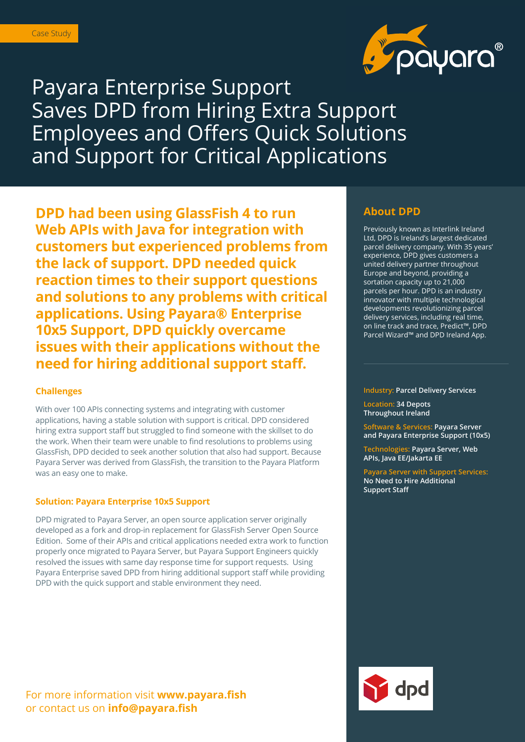

# Payara Enterprise Support Saves DPD from Hiring Extra Support Employees and Offers Quick Solutions and Support for Critical Applications

**DPD had been using GlassFish 4 to run Web APIs with Java for integration with customers but experienced problems from the lack of support. DPD needed quick reaction times to their support questions and solutions to any problems with critical applications. Using Payara® Enterprise 10x5 Support, DPD quickly overcame issues with their applications without the need for hiring additional support staff.** 

### **Challenges**

With over 100 APIs connecting systems and integrating with customer applications, having a stable solution with support is critical. DPD considered hiring extra support staff but struggled to find someone with the skillset to do the work. When their team were unable to find resolutions to problems using GlassFish, DPD decided to seek another solution that also had support. Because Payara Server was derived from GlassFish, the transition to the Payara Platform was an easy one to make.

### **Solution: Payara Enterprise 10x5 Support**

DPD migrated to Payara Server, an open source application server originally developed as a fork and drop-in replacement for GlassFish Server Open Source Edition. Some of their APIs and critical applications needed extra work to function properly once migrated to Payara Server, but Payara Support Engineers quickly resolved the issues with same day response time for support requests. Using Payara Enterprise saved DPD from hiring additional support staff while providing DPD with the quick support and stable environment they need.

## For more information visit **www.payara.fish**  or contact us on **info@payara.fish**

### **About DPD**

Previously known as Interlink Ireland Ltd, DPD is Ireland's largest dedicated parcel delivery company. With 35 years' experience, DPD gives customers a united delivery partner throughout Europe and beyond, providing a sortation capacity up to 21,000 parcels per hour. DPD is an industry innovator with multiple technological developments revolutionizing parcel delivery services, including real time, on line track and trace, Predict™, DPD Parcel Wizard™ and DPD Ireland App.

**Industry: Parcel Delivery Services**

**Location: 34 Depots Throughout Ireland**

**Software & Services: Payara Server and Payara Enterprise Support (10x5)**

**Technologies: Payara Server, Web APIs, Java EE/Jakarta EE**

**Payara Server with Support Services: No Need to Hire Additional Support Staff**